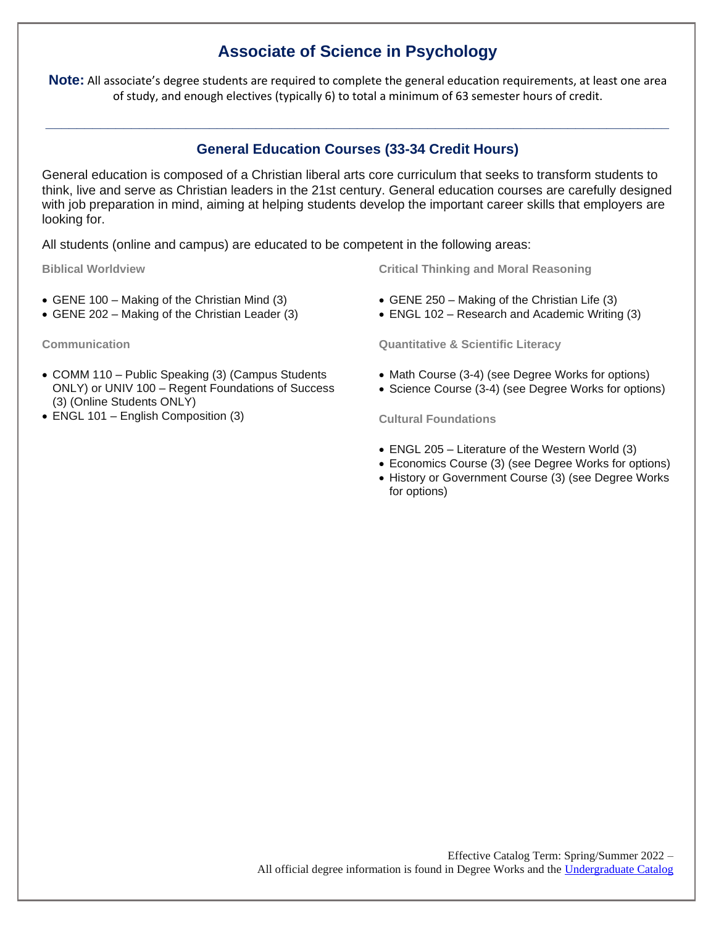## **Associate of Science in Psychology**

**Note:** All associate's degree students are required to complete the general education requirements, at least one area of study, and enough electives (typically 6) to total a minimum of 63 semester hours of credit.

## **General Education Courses (33-34 Credit Hours)**

**\_\_\_\_\_\_\_\_\_\_\_\_\_\_\_\_\_\_\_\_\_\_\_\_\_\_\_\_\_\_\_\_\_\_\_\_\_\_\_\_\_\_\_\_\_\_\_\_\_\_\_\_\_\_\_\_\_\_\_\_\_\_\_\_\_\_\_\_\_\_\_\_\_\_\_\_\_\_\_\_**

General education is composed of a Christian liberal arts core curriculum that seeks to transform students to think, live and serve as Christian leaders in the 21st century. General education courses are carefully designed with job preparation in mind, aiming at helping students develop the important career skills that employers are looking for.

All students (online and campus) are educated to be competent in the following areas:

**Biblical Worldview**

- GENE 100 Making of the Christian Mind (3)
- GENE 202 Making of the Christian Leader (3)

**Communication**

- COMM 110 Public Speaking (3) (Campus Students ONLY) or UNIV 100 – Regent Foundations of Success (3) (Online Students ONLY)
- ENGL 101 English Composition (3)

**Critical Thinking and Moral Reasoning**

- GENE 250 Making of the Christian Life (3)
- ENGL 102 Research and Academic Writing (3)

**Quantitative & Scientific Literacy**

- Math Course (3-4) (see Degree Works for options)
- Science Course (3-4) (see Degree Works for options)

**Cultural Foundations**

- ENGL 205 Literature of the Western World (3)
- Economics Course (3) (see Degree Works for options)
- History or Government Course (3) (see Degree Works for options)